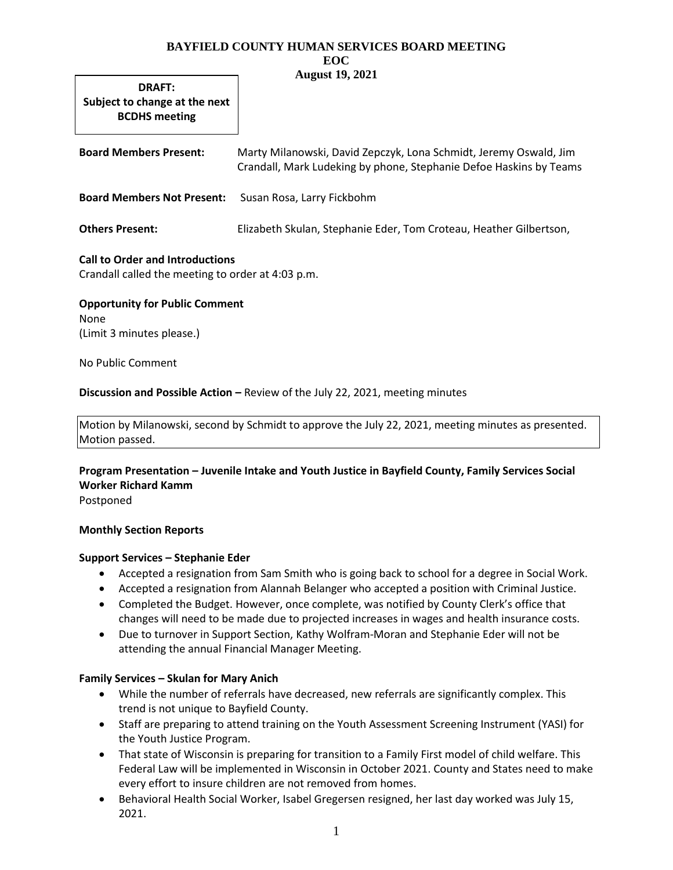#### **BAYFIELD COUNTY HUMAN SERVICES BOARD MEETING EOC August 19, 2021**

**DRAFT: Subject to change at the next BCDHS meeting**

| <b>Board Members Present:</b>     | Marty Milanowski, David Zepczyk, Lona Schmidt, Jeremy Oswald, Jim<br>Crandall, Mark Ludeking by phone, Stephanie Defoe Haskins by Teams |
|-----------------------------------|-----------------------------------------------------------------------------------------------------------------------------------------|
| <b>Board Members Not Present:</b> | Susan Rosa, Larry Fickbohm                                                                                                              |
| <b>Others Present:</b>            | Elizabeth Skulan, Stephanie Eder, Tom Croteau, Heather Gilbertson,                                                                      |

## **Call to Order and Introductions**

Crandall called the meeting to order at 4:03 p.m.

**Opportunity for Public Comment** None (Limit 3 minutes please.)

No Public Comment

### **Discussion and Possible Action –** Review of the July 22, 2021, meeting minutes

Motion by Milanowski, second by Schmidt to approve the July 22, 2021, meeting minutes as presented. Motion passed.

**Program Presentation – Juvenile Intake and Youth Justice in Bayfield County, Family Services Social Worker Richard Kamm** Postponed

### **Monthly Section Reports**

### **Support Services – Stephanie Eder**

- Accepted a resignation from Sam Smith who is going back to school for a degree in Social Work.
- Accepted a resignation from Alannah Belanger who accepted a position with Criminal Justice.
- Completed the Budget. However, once complete, was notified by County Clerk's office that changes will need to be made due to projected increases in wages and health insurance costs.
- Due to turnover in Support Section, Kathy Wolfram-Moran and Stephanie Eder will not be attending the annual Financial Manager Meeting.

# **Family Services – Skulan for Mary Anich**

- While the number of referrals have decreased, new referrals are significantly complex. This trend is not unique to Bayfield County.
- Staff are preparing to attend training on the Youth Assessment Screening Instrument (YASI) for the Youth Justice Program.
- That state of Wisconsin is preparing for transition to a Family First model of child welfare. This Federal Law will be implemented in Wisconsin in October 2021. County and States need to make every effort to insure children are not removed from homes.
- Behavioral Health Social Worker, Isabel Gregersen resigned, her last day worked was July 15, 2021.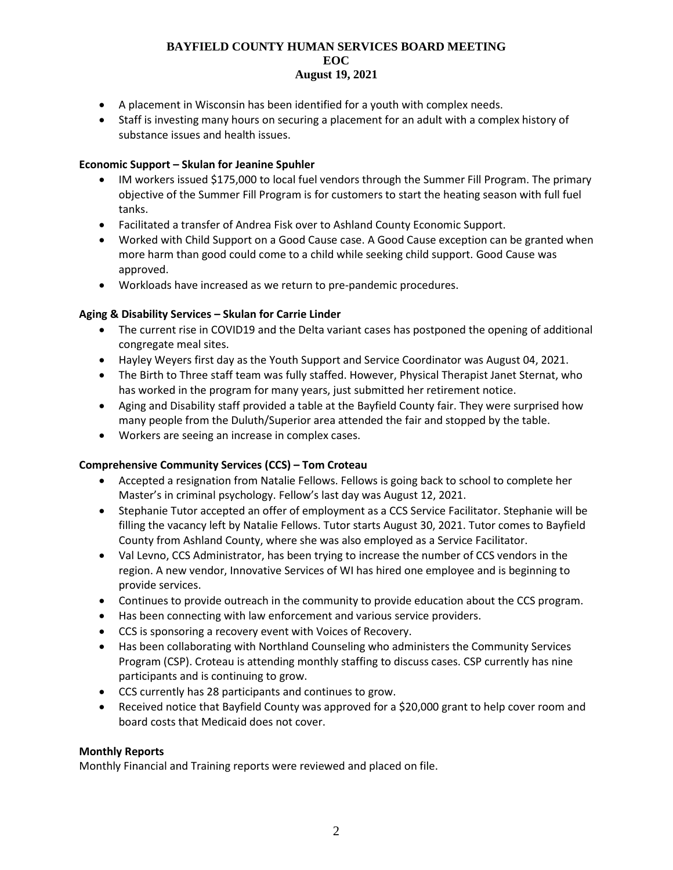#### **BAYFIELD COUNTY HUMAN SERVICES BOARD MEETING EOC August 19, 2021**

- A placement in Wisconsin has been identified for a youth with complex needs.
- Staff is investing many hours on securing a placement for an adult with a complex history of substance issues and health issues.

#### **Economic Support – Skulan for Jeanine Spuhler**

- IM workers issued \$175,000 to local fuel vendors through the Summer Fill Program. The primary objective of the Summer Fill Program is for customers to start the heating season with full fuel tanks.
- Facilitated a transfer of Andrea Fisk over to Ashland County Economic Support.
- Worked with Child Support on a Good Cause case. A Good Cause exception can be granted when more harm than good could come to a child while seeking child support. Good Cause was approved.
- Workloads have increased as we return to pre-pandemic procedures.

### **Aging & Disability Services – Skulan for Carrie Linder**

- The current rise in COVID19 and the Delta variant cases has postponed the opening of additional congregate meal sites.
- Hayley Weyers first day as the Youth Support and Service Coordinator was August 04, 2021.
- The Birth to Three staff team was fully staffed. However, Physical Therapist Janet Sternat, who has worked in the program for many years, just submitted her retirement notice.
- Aging and Disability staff provided a table at the Bayfield County fair. They were surprised how many people from the Duluth/Superior area attended the fair and stopped by the table.
- Workers are seeing an increase in complex cases.

### **Comprehensive Community Services (CCS) – Tom Croteau**

- Accepted a resignation from Natalie Fellows. Fellows is going back to school to complete her Master's in criminal psychology. Fellow's last day was August 12, 2021.
- Stephanie Tutor accepted an offer of employment as a CCS Service Facilitator. Stephanie will be filling the vacancy left by Natalie Fellows. Tutor starts August 30, 2021. Tutor comes to Bayfield County from Ashland County, where she was also employed as a Service Facilitator.
- Val Levno, CCS Administrator, has been trying to increase the number of CCS vendors in the region. A new vendor, Innovative Services of WI has hired one employee and is beginning to provide services.
- Continues to provide outreach in the community to provide education about the CCS program.
- Has been connecting with law enforcement and various service providers.
- CCS is sponsoring a recovery event with Voices of Recovery.
- Has been collaborating with Northland Counseling who administers the Community Services Program (CSP). Croteau is attending monthly staffing to discuss cases. CSP currently has nine participants and is continuing to grow.
- CCS currently has 28 participants and continues to grow.
- Received notice that Bayfield County was approved for a \$20,000 grant to help cover room and board costs that Medicaid does not cover.

### **Monthly Reports**

Monthly Financial and Training reports were reviewed and placed on file.